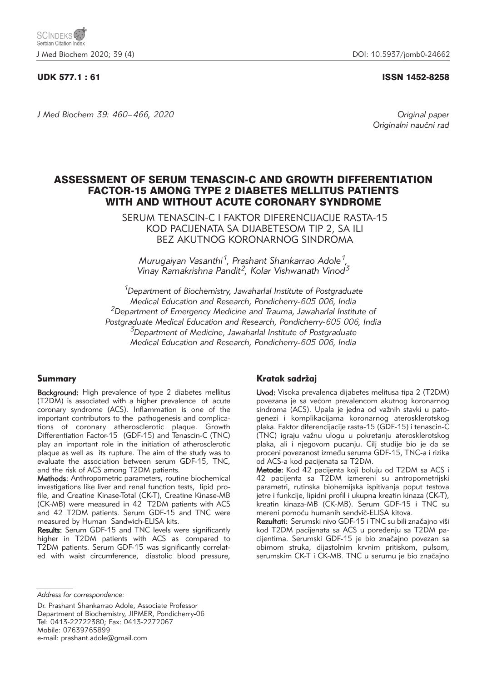## UDK 577.1 : 61 ISSN 1452-8258

*J Med Biochem 39: 460–466, 2020 Original paper*

Originalni naučni rad

# ASSESSMENT OF SERUM TENASCIN-C AND GROWTH DIFFERENTIATION FACTOR-15 AMONG TYPE 2 DIABETES MELLITUS PATIENTS WITH AND WITHOUT ACUTE CORONARY SYNDROME

SERUM TENASCIN-C I FAKTOR DIFERENCIJACIJE RASTA-15 KOD PACIJENATA SA DIJABETESOM TIP 2, SA ILI BEZ AKUTNOG KORONARNOG SINDROMA

*Murugaiyan Vasanthi1, Prashant Shankarrao Adole1, Vinay Ramakrishna Pandit2, Kolar Vishwanath Vinod3*

*1Department of Biochemistry, Jawaharlal Institute of Postgraduate Medical Education and Research, Pondicherry-605 006, India 2Department of Emergency Medicine and Trauma, Jawaharlal Institute of Postgraduate Medical Education and Research, Pondicherry-605 006, India 3Department of Medicine, Jawaharlal Institute of Postgraduate Medical Education and Research, Pondicherry-605 006, India*

### Summary

Background: High prevalence of type 2 diabetes mellitus (T2DM) is associated with a higher prevalence of acute coronary syndrome (ACS). Inflammation is one of the important contributors to the pathogenesis and complications of coronary atherosclerotic plaque. Growth Differentiation Factor-15 (GDF-15) and Tenascin-C (TNC) play an important role in the initiation of atherosclerotic plaque as well as its rupture. The aim of the study was to evaluate the association between serum GDF-15, TNC, and the risk of ACS among T2DM patients.

Methods: Anthropometric parameters, routine biochemical investigations like liver and renal function tests, lipid profile, and Creatine Kinase-Total (CK-T), Creatine Kinase-MB (CK-MB) were measured in 42 T2DM patients with ACS and 42 T2DM patients. Serum GDF-15 and TNC were measured by Human Sandwich-ELISA kits.

Results: Serum GDF-15 and TNC levels were significantly higher in T2DM patients with ACS as compared to T2DM patients. Serum GDF-15 was significantly correlated with waist circumference, diastolic blood pressure,

# Kratak sadržaj

Uvod: Visoka prevalenca dijabetes melitusa tipa 2 (T2DM) povezana je sa većom prevalencom akutnog koronarnog sindroma (ACS). Upala je jedna od važnih stavki u patogenezi i komplikacijama koronarnog aterosklerotskog plaka. Faktor diferencijacije rasta-15 (GDF-15) i tenascin-C (TNC) igraju važnu ulogu u pokretanju aterosklerotskog plaka, ali i njegovom pucanju. Cilj studije bio je da se proceni povezanost između seruma GDF-15, TNC-a i rizika od ACS-a kod pacijenata sa T2DM.

Metode: Kod 42 pacijenta koji boluju od T2DM sa ACS i 42 pacijenta sa T2DM izmereni su antropometrijski parametri, rutinska biohemijska ispitivanja poput testova jetre i funkcije, lipidni profil i ukupna kreatin kinaza (CK-T), kreatin kinaza-MB (CK-MB). Serum GDF-15 i TNC su mereni pomoću humanih sendvič-ELISA kitova.

Rezultati: Serumski nivo GDF-15 i TNC su bili značajno viši kod T2DM pacijenata sa ACS u poređenju sa T2DM pacijentima. Serumski GDF-15 je bio značajno povezan sa obimom struka, dijastolnim krvnim pritiskom, pulsom, serumskim CK-T i CK-MB. TNC u serumu je bio značajno

*Address for correspondence:*

Dr. Prashant Shankarrao Adole, Associate Professor Department of Biochemistry, JIPMER, Pondicherry-06 Tel: 0413-22722380; Fax: 0413-2272067 Mobile: 07639765899 e-mail: prashant.adole@gmail.com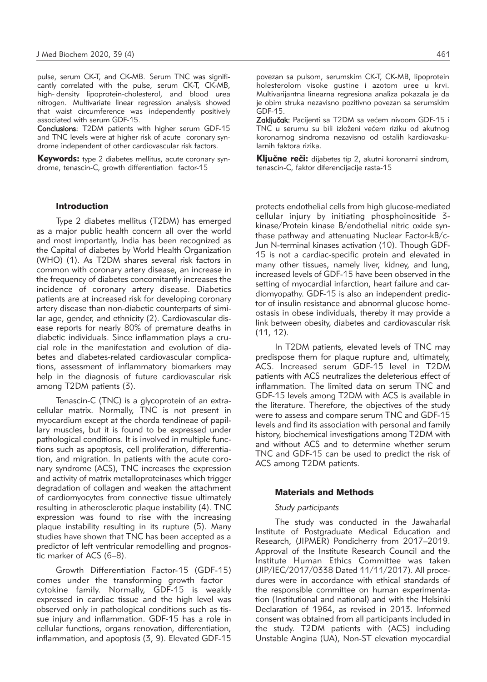pulse, serum CK-T, and CK-MB. Serum TNC was significantly correlated with the pulse, serum CK-T, CK-MB, high- density lipoprotein-cholesterol, and blood urea nitrogen. Multivariate linear regression analysis showed that waist circumference was independently positively associated with serum GDF-15.

Conclusions: T2DM patients with higher serum GDF-15 and TNC levels were at higher risk of acute coronary syndrome independent of other cardiovascular risk factors.

**Keywords:** type 2 diabetes mellitus, acute coronary syndrome, tenascin-C, growth differentiation factor-15

#### Introduction

Type 2 diabetes mellitus (T2DM) has emerged as a major public health concern all over the world and most importantly, India has been recognized as the Capital of diabetes by World Health Organization (WHO) (1). As T2DM shares several risk factors in common with coronary artery disease, an increase in the frequency of diabetes concomitantly increases the incidence of coronary artery disease. Diabetics patients are at increased risk for developing coronary artery disease than non-diabetic counterparts of similar age, gender, and ethnicity (2). Cardiovascular disease reports for nearly 80% of premature deaths in diabetic individuals. Since inflammation plays a crucial role in the manifestation and evolution of diabetes and diabetes-related cardiovascular complications, assessment of inflammatory biomarkers may help in the diagnosis of future cardiovascular risk among T2DM patients (3).

Tenascin-C (TNC) is a glycoprotein of an extracellular matrix. Normally, TNC is not present in myocardium except at the chorda tendineae of papillary muscles, but it is found to be expressed under pathological conditions. It is involved in multiple functions such as apoptosis, cell proliferation, differentiation, and migration. In patients with the acute coronary syndrome (ACS), TNC increases the expression and activity of matrix metalloproteinases which trigger degradation of collagen and weaken the attachment of cardiomyocytes from connective tissue ultimately resulting in atherosclerotic plaque instability (4). TNC expression was found to rise with the increasing plaque instability resulting in its rupture (5). Many studies have shown that TNC has been accepted as a predictor of left ventricular remodelling and prognostic marker of ACS (6–8).

Growth Differentiation Factor-15 (GDF-15) comes under the transforming growth factor cytokine family. Normally, GDF-15 is weakly expressed in cardiac tissue and the high level was observed only in pathological conditions such as tissue injury and inflammation. GDF-15 has a role in cellular functions, organs renovation, differentiation, inflammation, and apoptosis (3, 9). Elevated GDF-15 povezan sa pulsom, serumskim CK-T, CK-MB, lipoprotein holesterolom visoke gustine i azotom uree u krvi. Multivarijantna linearna regresiona analiza pokazala je da je obim struka nezavisno pozitivno povezan sa serumskim GDF-15.

Zaključak: Pacijenti sa T2DM sa većem nivoom GDF-15 i TNC u serumu su bili izloženi većem riziku od akutnog koronarnog sindroma nezavisno od ostalih kardiovaskularnih faktora rizika.

Ključne reči: dijabetes tip 2, akutni koronarni sindrom, tenascin-C, faktor diferencijacije rasta-15

protects endothelial cells from high glucose-mediated cellular injury by initiating phosphoinositide 3 kinase/Protein kinase B/endothelial nitric oxide synthase pathway and attenuating Nuclear Factor-kB/c-Jun N-terminal kinases activation (10). Though GDF-15 is not a cardiac-specific protein and elevated in many other tissues, namely liver, kidney, and lung, increased levels of GDF-15 have been observed in the setting of myocardial infarction, heart failure and cardiomyopathy. GDF-15 is also an independent predictor of insulin resistance and abnormal glucose homeostasis in obese individuals, thereby it may provide a link between obesity, diabetes and cardiovascular risk (11, 12).

In T2DM patients, elevated levels of TNC may predispose them for plaque rupture and, ultimately, ACS. Increased serum GDF-15 level in T2DM patients with ACS neutralizes the deleterious effect of inflammation. The limited data on serum TNC and GDF-15 levels among T2DM with ACS is available in the literature. Therefore, the objectives of the study were to assess and compare serum TNC and GDF-15 levels and find its association with personal and family history, biochemical investigations among T2DM with and without ACS and to determine whether serum TNC and GDF-15 can be used to predict the risk of ACS among T2DM patients.

#### Materials and Methods

## *Study participants*

The study was conducted in the Jawaharlal Institute of Postgraduate Medical Education and Research, (JIPMER) Pondicherry from 2017–2019. Approval of the Institute Research Council and the Institute Human Ethics Committee was taken (JIP/IEC/2017/0338 Dated 11/11/2017). All procedures were in accordance with ethical standards of the responsible committee on human experimentation (Institutional and national) and with the Helsinki Declaration of 1964, as revised in 2013. Informed consent was obtained from all participants included in the study. T2DM patients with (ACS) including Unstable Angina (UA), Non-ST elevation myocardial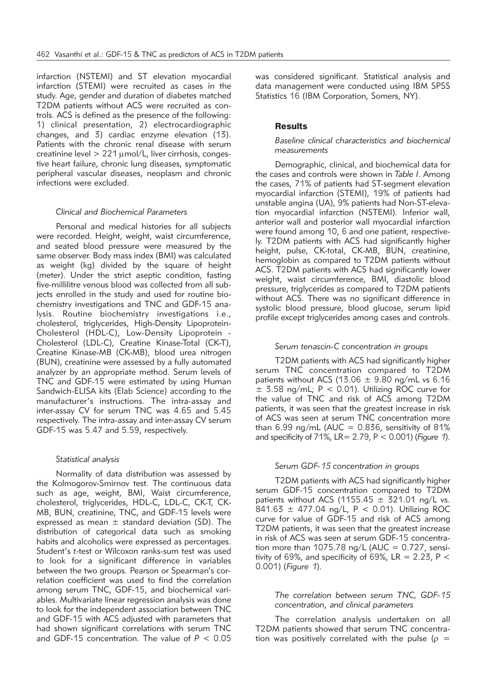infarction (NSTEMI) and ST elevation myocardial infarction (STEMI) were recruited as cases in the study. Age, gender and duration of diabetes matched T2DM patients without ACS were recruited as controls. ACS is defined as the presence of the following: 1) clinical presentation, 2) electrocardiographic changes, and 3) cardiac enzyme elevation (13). Patients with the chronic renal disease with serum creatinine level  $> 221$   $\mu$ mol/L, liver cirrhosis, congestive heart failure, chronic lung diseases, symptomatic peripheral vascular diseases, neoplasm and chronic infections were excluded.

### *Clinical and Biochemical Parameters*

Personal and medical histories for all subjects were recorded. Height, weight, waist circumference, and seated blood pressure were measured by the same observer. Body mass index (BMI) was calculated as weight (kg) divided by the square of height (meter). Under the strict aseptic condition, fasting five-millilitre venous blood was collected from all subjects enrolled in the study and used for routine biochemistry investigations and TNC and GDF-15 ana lysis. Routine biochemistry investigations i.e., cholesterol, triglycerides, High-Density Lipoprotein-Cholesterol (HDL-C), Low-Density Lipoprotein -Cholesterol (LDL-C), Creatine Kinase-Total (CK-T), Creatine Kinase-MB (CK-MB), blood urea nitrogen (BUN), creatinine were assessed by a fully automated analyzer by an appropriate method. Serum levels of TNC and GDF-15 were estimated by using Human Sandwich-ELISA kits (Elab Science) according to the manufacturer's instructions. The intra-assay and inter-assay CV for serum TNC was 4.65 and 5.45 respectively. The intra-assay and inter-assay CV serum GDF-15 was 5.47 and 5.59, respectively.

#### *Statistical analysis*

Normality of data distribution was assessed by the Kolmogorov-Smirnov test. The continuous data such as age, weight, BMI, Waist circumference, cholesterol, triglycerides, HDL-C, LDL-C, CK-T, CK-MB, BUN, creatinine, TNC, and GDF-15 levels were expressed as mean  $\pm$  standard deviation (SD). The distribution of categorical data such as smoking habits and alcoholics were expressed as percentages. Student's *t*-test or Wilcoxon ranks-sum test was used to look for a significant difference in variables between the two groups. Pearson or Spearman's correlation coefficient was used to find the correlation among serum TNC, GDF-15, and biochemical variables. Multivariate linear regression analysis was done to look for the independent association between TNC and GDF-15 with ACS adjusted with parameters that had shown significant correlations with serum TNC and GDF-15 concentration. The value of *P* < 0.05

was considered significant. Statistical analysis and data management were conducted using IBM SPSS Statistics 16 (IBM Corporation, Somers, NY).

## **Results**

### *Baseline clinical characteristics and biochemical measurements*

Demographic, clinical, and biochemical data for the cases and controls were shown in *Table I*. Among the cases, 71% of patients had ST-segment elevation myocardial infarction (STEMI), 19% of patients had unstable angina (UA), 9% patients had Non-ST-elevation myocardial infarction (NSTEMI). Inferior wall, anterior wall and posterior wall myocardial infarction were found among 10, 6 and one patient, respectively. T2DM patients with ACS had significantly higher height, pulse, CK-total, CK-MB, BUN, creatinine, hemoglobin as compared to T2DM patients without ACS. T2DM patients with ACS had significantly lower weight, waist circumference, BMI, diastolic blood pressure, triglycerides as compared to T2DM patients without ACS. There was no significant difference in systolic blood pressure, blood glucose, serum lipid profile except triglycerides among cases and controls.

#### *Serum tenascin-C concentration in groups*

T2DM patients with ACS had significantly higher serum TNC concentration compared to T2DM patients without ACS (13.06  $\pm$  9.80 ng/mL vs 6.16  $\pm$  3.58 ng/mL; P < 0.01). Utilizing ROC curve for the value of TNC and risk of ACS among T2DM patients, it was seen that the greatest increase in risk of ACS was seen at serum TNC concentration more than  $6.99$  ng/mL (AUC = 0.836, sensitivity of 81% and specificity of 71%, LR= 2.79, P < 0.001) (*Figure 1*).

#### *Serum GDF-15 concentration in groups*

T2DM patients with ACS had significantly higher serum GDF-15 concentration compared to T2DM patients without ACS (1155.45  $\pm$  321.01 ng/L vs. 841.63 ± 477.04 ng/L, P < 0.01). Utilizing ROC curve for value of GDF-15 and risk of ACS among T2DM patients, it was seen that the greatest increase in risk of ACS was seen at serum GDF-15 concentration more than 1075.78 ng/L (AUC =  $0.727$ , sensitivity of 69%, and specificity of 69%,  $LR = 2.23$ , P < 0.001) (*Figure 1*).

### *The correlation between serum TNC, GDF-15 concentration, and clinical parameters*

The correlation analysis undertaken on all T2DM patients showed that serum TNC concentration was positively correlated with the pulse ( $\rho =$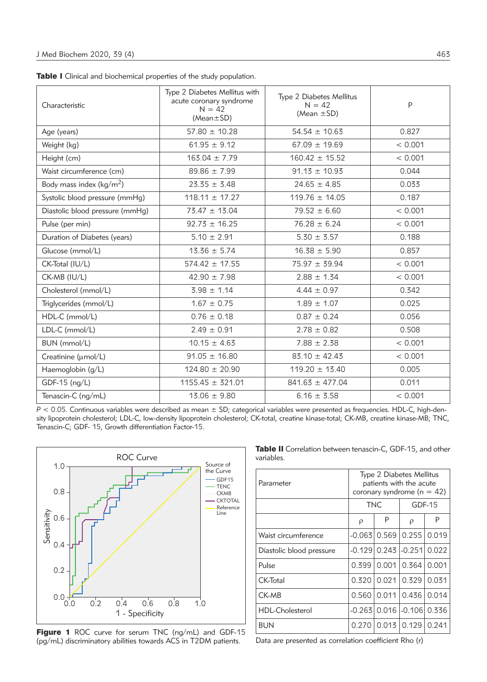| Characteristic                      | Type 2 Diabetes Mellitus with<br>acute coronary syndrome<br>$N = 42$<br>$(Mean \pm SD)$ | Type 2 Diabetes Mellitus<br>$N = 42$<br>(Mean $\pm$ SD) | P       |
|-------------------------------------|-----------------------------------------------------------------------------------------|---------------------------------------------------------|---------|
| Age (years)                         | $57.80 \pm 10.28$                                                                       | $54.54 \pm 10.63$                                       | 0.827   |
| Weight (kg)                         | $61.95 \pm 9.12$                                                                        | $67.09 \pm 19.69$                                       | < 0.001 |
| Height (cm)                         | $163.04 \pm 7.79$                                                                       | $160.42 \pm 15.52$                                      | < 0.001 |
| Waist circumference (cm)            | $89.86 \pm 7.99$                                                                        | $91.13 \pm 10.93$                                       | 0.044   |
| Body mass index ( $\text{kg/m}^2$ ) | $23.35 \pm 3.48$                                                                        | $24.65 \pm 4.85$                                        | 0.033   |
| Systolic blood pressure (mmHg)      | $118.11 \pm 17.27$                                                                      | $119.76 \pm 14.05$                                      | 0.187   |
| Diastolic blood pressure (mmHg)     | $73.47 \pm 13.04$                                                                       | $79.52 \pm 6.60$                                        | < 0.001 |
| Pulse (per min)                     | $92.73 \pm 16.25$                                                                       | $76.28 \pm 6.24$                                        | < 0.001 |
| Duration of Diabetes (years)        | $5.10 \pm 2.91$                                                                         | $5.30 \pm 3.57$                                         | 0.188   |
| Glucose (mmol/L)                    | $13.36 \pm 5.74$                                                                        | $16.38 \pm 5.90$                                        | 0.857   |
| CK-Total (IU/L)                     | $574.42 \pm 17.55$                                                                      | $75.97 \pm 39.94$                                       | < 0.001 |
| CK-MB (IU/L)                        | $42.90 \pm 7.98$                                                                        | $2.88 \pm 1.34$                                         | < 0.001 |
| Cholesterol (mmol/L)                | $3.98 \pm 1.14$                                                                         | $4.44 \pm 0.97$                                         | 0.342   |
| Triglycerides (mmol/L)              | $1.67 \pm 0.75$                                                                         | $1.89 \pm 1.07$                                         | 0.025   |
| HDL-C (mmol/L)                      | $0.76 \pm 0.18$                                                                         | $0.87 \pm 0.24$                                         | 0.056   |
| $LDL-C$ (mmol/L)                    | $2.49 \pm 0.91$                                                                         | $2.78 \pm 0.82$                                         | 0.508   |
| BUN (mmol/L)                        | $10.15 \pm 4.63$                                                                        | $7.88 \pm 2.38$                                         | < 0.001 |
| Creatinine (umol/L)                 | $91.05 \pm 16.80$                                                                       | $83.10 \pm 42.43$                                       | < 0.001 |
| Haemoglobin (g/L)                   | $124.80 \pm 20.90$                                                                      | $119.20 \pm 13.40$                                      | 0.005   |
| GDF-15 (ng/L)                       | $1155.45 \pm 321.01$                                                                    | $841.63 \pm 477.04$                                     | 0.011   |
| Tenascin-C (ng/mL)                  | $13.06 \pm 9.80$                                                                        | $6.16 \pm 3.58$                                         | < 0.001 |

Table I Clinical and biochemical properties of the study population.

*P* < 0.05. Continuous variables were described as mean ± SD; categorical variables were presented as frequencies. HDL-C, high-density lipoprotein cholesterol; LDL-C, low-density lipoprotein cholesterol; CK-total, creatine kinase-total; CK-MB, creatine kinase-MB; TNC, Tenascin-C; GDF- 15, Growth differentiation Factor-15.



Figure 1 ROC curve for serum TNC (ng/mL) and GDF-15 (pg/mL) discriminatory abilities towards ACS in T2DM patients.

Table II Correlation between tenascin-C, GDF-15, and other variables.

| Parameter                | Type 2 Diabetes Mellitus<br>patients with the acute<br>coronary syndrome ( $n = 42$ ) |       |            |       |
|--------------------------|---------------------------------------------------------------------------------------|-------|------------|-------|
|                          | <b>TNC</b>                                                                            |       | GDF-15     |       |
|                          | ρ                                                                                     | Ρ     | ρ          | P     |
| Waist circumference      | $-0.063$                                                                              | 0.569 | 0.255      | 0.019 |
| Diastolic blood pressure | -0.1291                                                                               | 0.243 | $-0.251$   | 0.022 |
| Pulse                    | 0.399                                                                                 | 0.001 | 0.364      | 0.001 |
| CK-Total                 | 0.320                                                                                 | 0.021 | 0.329      | 0.031 |
| CK-MB                    | 0.560                                                                                 | 0.011 | 0.436      | 0.014 |
| <b>HDL-Cholesterol</b>   | -0.2631                                                                               | 0.016 | $ -0.106 $ | 0.336 |
| BUN                      | 0.270                                                                                 | 0.013 | 0.129      | 0.241 |

Data are presented as correlation coefficient Rho (r)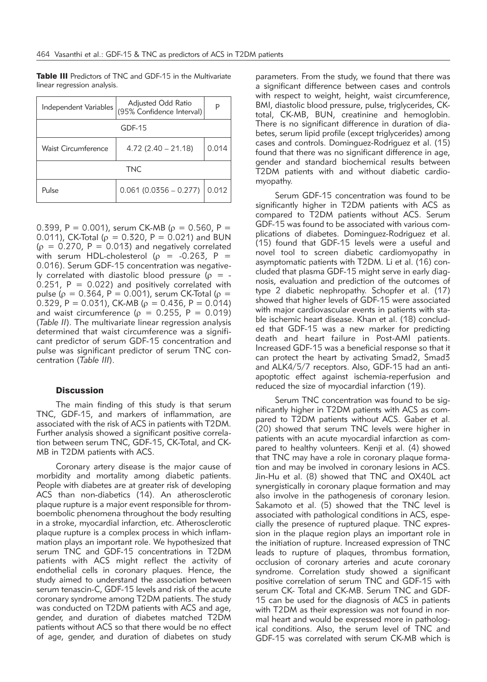Table III Predictors of TNC and GDF-15 in the Multivariate linear regression analysis.

| Independent Variables | Adjusted Odd Ratio<br>(95% Confidence Interval) | P     |  |  |  |
|-----------------------|-------------------------------------------------|-------|--|--|--|
| $GDF-15$              |                                                 |       |  |  |  |
| Waist Circumference   | $4.72(2.40 - 21.18)$                            | 0.014 |  |  |  |
| TNC.                  |                                                 |       |  |  |  |
| Pulse                 | $0.061$ (0.0356 - 0.277)                        | 0.012 |  |  |  |

0.399, P = 0.001), serum CK-MB ( $\rho = 0.560$ , P = 0.011), CK-Total ( $\rho = 0.320$ , P = 0.021) and BUN  $(p = 0.270, P = 0.013)$  and negatively correlated with serum HDL-cholesterol ( $\rho$  = -0.263, P = 0.016). Serum GDF-15 concentration was negatively correlated with diastolic blood pressure ( $\rho = 0.251$ , P = 0.022) and positively correlated with pulse ( $\rho = 0.364$ , P = 0.001), serum CK-Total ( $\rho =$ 0.329, P = 0.031), CK-MB ( $\rho = 0.436$ , P = 0.014) and waist circumference ( $\rho = 0.255$ ,  $P = 0.019$ ) (*Table II*). The multivariate linear regression analysis determined that waist circumference was a significant predictor of serum GDF-15 concentration and pulse was significant predictor of serum TNC concentration (*Table III*).

### **Discussion**

The main finding of this study is that serum TNC, GDF-15, and markers of inflammation, are associated with the risk of ACS in patients with T2DM. Further analysis showed a significant positive correlation between serum TNC, GDF-15, CK-Total, and CK-MB in T2DM patients with ACS.

Coronary artery disease is the major cause of morbidity and mortality among diabetic patients. People with diabetes are at greater risk of developing ACS than non-diabetics (14). An atherosclerotic plaque rupture is a major event responsible for thromboembolic phenomena throughout the body resulting in a stroke, myocardial infarction, etc. Atherosclerotic plaque rupture is a complex process in which inflammation plays an important role. We hypothesized that serum TNC and GDF-15 concentrations in T2DM patients with ACS might reflect the activity of endothelial cells in coronary plaques. Hence, the study aimed to understand the association between serum tenascin-C, GDF-15 levels and risk of the acute coronary syndrome among T2DM patients. The study was conducted on T2DM patients with ACS and age, gender, and duration of diabetes matched T2DM patients without ACS so that there would be no effect of age, gender, and duration of diabetes on study

parameters. From the study, we found that there was a significant difference between cases and controls with respect to weight, height, waist circumference, BMI, diastolic blood pressure, pulse, triglycerides, CKtotal, CK-MB, BUN, creatinine and hemoglobin. There is no significant difference in duration of diabetes, serum lipid profile (except triglycerides) among cases and controls. Dominguez-Rodriguez et al. (15) found that there was no significant difference in age, gender and standard biochemical results between T2DM patients with and without diabetic cardiomyopathy.

Serum GDF-15 concentration was found to be significantly higher in T2DM patients with ACS as compared to T2DM patients without ACS. Serum GDF-15 was found to be associated with various complications of diabetes. Dominguez-Rodriguez et al. (15) found that GDF-15 levels were a useful and novel tool to screen diabetic cardiomyopathy in asymptomatic patients with T2DM. Li et al. (16) concluded that plasma GDF-15 might serve in early diagnosis, evaluation and prediction of the outcomes of type 2 diabetic nephropathy. Schopfer et al. (17) showed that higher levels of GDF-15 were associated with major cardiovascular events in patients with stable ischemic heart disease. Khan et al. (18) concluded that GDF-15 was a new marker for predicting death and heart failure in Post-AMI patients. Increased GDF-15 was a beneficial response so that it can protect the heart by activating Smad2, Smad3 and ALK4/5/7 receptors. Also, GDF-15 had an antiapoptotic effect against ischemia-reperfusion and reduced the size of myocardial infarction (19).

Serum TNC concentration was found to be significantly higher in T2DM patients with ACS as compared to T2DM patients without ACS. Gaber et al. (20) showed that serum TNC levels were higher in patients with an acute myocardial infarction as compared to healthy volunteers. Kenji et al. (4) showed that TNC may have a role in coronary plaque formation and may be involved in coronary lesions in ACS. Jin-Hu et al. (8) showed that TNC and OX40L act synergistically in coronary plaque formation and may also involve in the pathogenesis of coronary lesion. Sakamoto et al. (5) showed that the TNC level is associated with pathological conditions in ACS, especially the presence of ruptured plaque. TNC expression in the plaque region plays an important role in the initiation of rupture. Increased expression of TNC leads to rupture of plaques, thrombus formation, occlusion of coronary arteries and acute coronary syndrome. Correlation study showed a significant positive correlation of serum TNC and GDF-15 with serum CK- Total and CK-MB. Serum TNC and GDF-15 can be used for the diagnosis of ACS in patients with T2DM as their expression was not found in normal heart and would be expressed more in pathological conditions. Also, the serum level of TNC and GDF-15 was correlated with serum CK-MB which is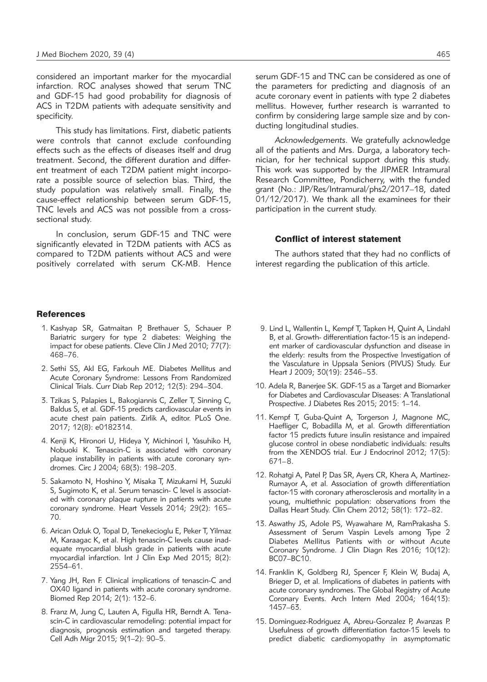considered an important marker for the myocardial infarction. ROC analyses showed that serum TNC and GDF-15 had good probability for diagnosis of ACS in T2DM patients with adequate sensitivity and specificity.

This study has limitations. First, diabetic patients were controls that cannot exclude confounding effects such as the effects of diseases itself and drug treatment. Second, the different duration and different treatment of each T2DM patient might incorporate a possible source of selection bias. Third, the study population was relatively small. Finally, the cause-effect relationship between serum GDF-15, TNC levels and ACS was not possible from a crosssectional study.

In conclusion, serum GDF-15 and TNC were significantly elevated in T2DM patients with ACS as compared to T2DM patients without ACS and were positively correlated with serum CK-MB. Hence

## **References**

- 1. Kashyap SR, Gatmaitan P, Brethauer S, Schauer P. Bariatric surgery for type 2 diabetes: Weighing the impact for obese patients. Cleve Clin J Med 2010; 77(7): 468–76.
- 2. Sethi SS, Akl EG, Farkouh ME. Diabetes Mellitus and Acute Coronary Syndrome: Lessons From Randomized Clinical Trials. Curr Diab Rep 2012; 12(3): 294–304.
- 3. Tzikas S, Palapies L, Bakogiannis C, Zeller T, Sinning C, Baldus S, et al. GDF-15 predicts cardiovascular events in acute chest pain patients. Zirlik A, editor. PLoS One. 2017; 12(8): e0182314.
- 4. Kenji K, Hironori U, Hideya Y, Michinori I, Yasuhiko H, Nobuoki K. Tenascin-C is associated with coronary plaque instability in patients with acute coronary syndromes. Circ J 2004; 68(3): 198–203.
- 5. Sakamoto N, Hoshino Y, Misaka T, Mizukami H, Suzuki S, Sugimoto K, et al. Serum tenascin- C level is associated with coronary plaque rupture in patients with acute coronary syndrome. Heart Vessels 2014; 29(2): 165– 70.
- 6. Arican Ozluk O, Topal D, Tenekecioglu E, Peker T, Yilmaz M, Karaagac K, et al. High tenascin-C levels cause inadequate myocardial blush grade in patients with acute myocardial infarction. Int J Clin Exp Med 2015; 8(2): 2554–61.
- 7. Yang JH, Ren F. Clinical implications of tenascin-C and OX40 ligand in patients with acute coronary syndrome. Biomed Rep 2014; 2(1): 132–6.
- 8. Franz M, Jung C, Lauten A, Figulla HR, Berndt A. Tenascin-C in cardiovascular remodeling: potential impact for diagnosis, prognosis estimation and targeted therapy. Cell Adh Migr 2015; 9(1–2): 90–5.

serum GDF-15 and TNC can be considered as one of the parameters for predicting and diagnosis of an acute coronary event in patients with type 2 diabetes mellitus. However, further research is warranted to confirm by considering large sample size and by conducting longitudinal studies.

*Acknowledgements.* We gratefully acknowledge all of the patients and Mrs. Durga, a laboratory technician, for her technical support during this study. This work was supported by the JIPMER Intramural Research Committee, Pondicherry, with the funded grant (No.: JIP/Res/Intramural/phs2/2017–18, dated 01/12/2017). We thank all the examinees for their participation in the current study.

#### Conflict of interest statement

The authors stated that they had no conflicts of interest regarding the publication of this article.

- 9. Lind L, Wallentin L, Kempf T, Tapken H, Quint A, Lindahl B, et al. Growth- differentiation factor-15 is an independent marker of cardiovascular dysfunction and disease in the elderly: results from the Prospective Investigation of the Vasculature in Uppsala Seniors (PIVUS) Study. Eur Heart J 2009; 30(19): 2346–53.
- 10. Adela R, Banerjee SK. GDF-15 as a Target and Biomarker for Diabetes and Cardiovascular Diseases: A Translational Prospective. J Diabetes Res 2015; 2015: 1–14.
- 11. Kempf T, Guba-Quint A, Torgerson J, Magnone MC, Haefliger C, Bobadilla M, et al. Growth differentiation factor 15 predicts future insulin resistance and impaired glucose control in obese nondiabetic individuals: results from the XENDOS trial. Eur J Endocrinol 2012; 17(5): 671–8.
- 12. Rohatgi A, Patel P, Das SR, Ayers CR, Khera A, Martinez-Rumayor A, et al. Association of growth differentiation factor-15 with coronary atherosclerosis and mortality in a young, multiethnic population: observations from the Dallas Heart Study. Clin Chem 2012; 58(1): 172–82.
- 13. Aswathy JS, Adole PS, Wyawahare M, RamPrakasha S. Assessment of Serum Vaspin Levels among Type 2 Diabetes Mellitus Patients with or without Acute Coronary Syndrome. J Clin Diagn Res 2016; 10(12): BC07–BC10.
- 14. Franklin K, Goldberg RJ, Spencer F, Klein W, Budaj A, Brieger D, et al. Implications of diabetes in patients with acute coronary syndromes. The Global Registry of Acute Coronary Events. Arch Intern Med 2004; 164(13): 1457–63.
- 15. Dominguez-Rodriguez A, Abreu-Gonzalez P, Avanzas P. Usefulness of growth differentiation factor-15 levels to predict diabetic cardiomyopathy in asymptomatic